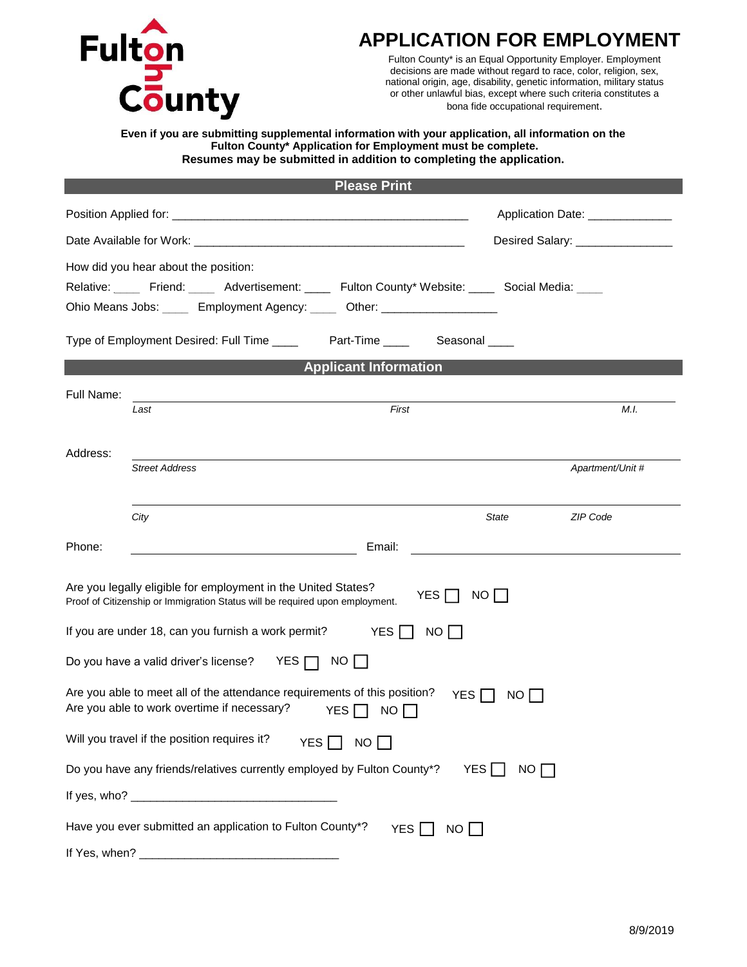

# **APPLICATION FOR EMPLOYMENT**

Fulton County\* is an Equal Opportunity Employer. Employment decisions are made without regard to race, color, religion, sex, national origin, age, disability, genetic information, military status or other unlawful bias, except where such criteria constitutes a bona fide occupational requirement.

## **Fulton County\* Application for Employment must be complete. Resumes may be submitted in addition to completing the application.**

|               |                                                                                                                                               | <b>Please Print</b>                                                     |                               |                                   |  |  |
|---------------|-----------------------------------------------------------------------------------------------------------------------------------------------|-------------------------------------------------------------------------|-------------------------------|-----------------------------------|--|--|
|               |                                                                                                                                               |                                                                         |                               | Application Date: ______________  |  |  |
|               |                                                                                                                                               |                                                                         |                               | Desired Salary: _________________ |  |  |
| Relative:     | How did you hear about the position:<br>Friend:<br>Ohio Means Jobs: Employment Agency:                                                        | Advertisement: Fulton County* Website:<br>Other: ______________________ | Social Media:                 |                                   |  |  |
|               | Type of Employment Desired: Full Time ____                                                                                                    | Part-Time _____ Seasonal ____                                           |                               |                                   |  |  |
|               |                                                                                                                                               | <b>Applicant Information</b>                                            |                               |                                   |  |  |
| Full Name:    | Last                                                                                                                                          | First                                                                   |                               | M.I.                              |  |  |
| Address:      | <b>Street Address</b>                                                                                                                         |                                                                         |                               | Apartment/Unit #                  |  |  |
|               | City                                                                                                                                          |                                                                         | <b>State</b>                  | ZIP Code                          |  |  |
| Phone:        |                                                                                                                                               | Email:                                                                  |                               |                                   |  |  |
|               | Are you legally eligible for employment in the United States?<br>Proof of Citizenship or Immigration Status will be required upon employment. | YES                                                                     | NO I I                        |                                   |  |  |
|               | If you are under 18, can you furnish a work permit?                                                                                           | YES <sup>I</sup><br>NO                                                  |                               |                                   |  |  |
|               | Do you have a valid driver's license?<br>YES                                                                                                  | <b>NO</b>                                                               |                               |                                   |  |  |
|               | Are you able to meet all of the attendance requirements of this position?<br>Are you able to work overtime if necessary?                      | <b>YES</b><br>NO                                                        | YES  <br>NO.                  |                                   |  |  |
|               | Will you travel if the position requires it?                                                                                                  | YES $\Box$<br>NO                                                        |                               |                                   |  |  |
|               | Do you have any friends/relatives currently employed by Fulton County*?                                                                       |                                                                         | YES $\Box$<br>NO <sub>1</sub> |                                   |  |  |
|               |                                                                                                                                               |                                                                         |                               |                                   |  |  |
|               | Have you ever submitted an application to Fulton County*?                                                                                     | YES                                                                     | $NO$                          |                                   |  |  |
| If Yes, when? |                                                                                                                                               |                                                                         |                               |                                   |  |  |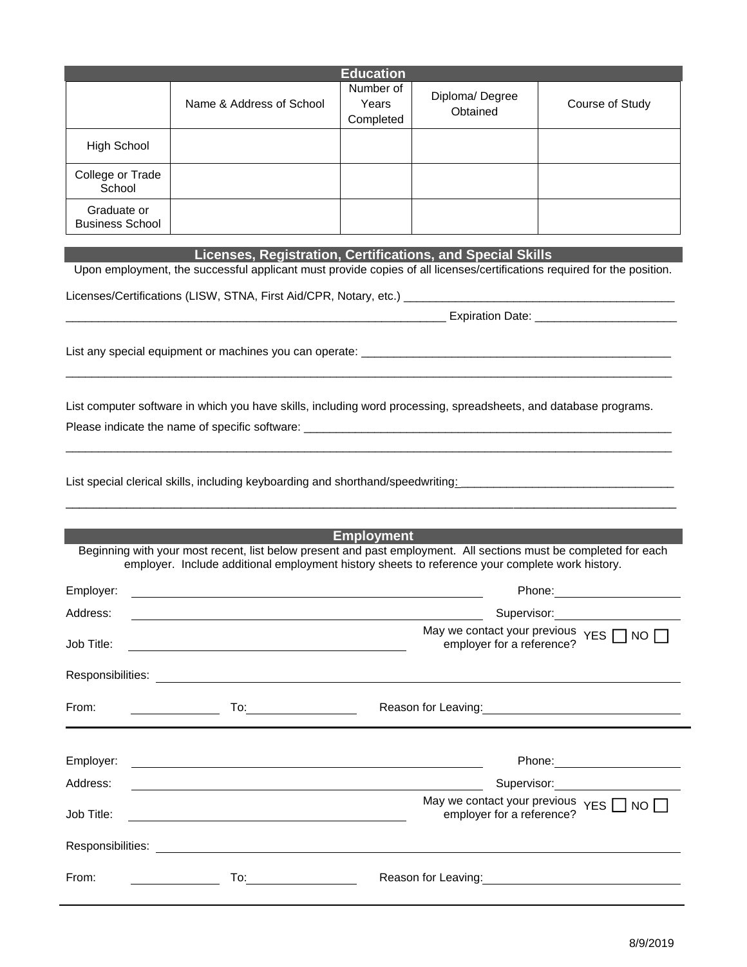|                                       |                                                                                                                                                                                                                                | <b>Education</b>                |                            |                                                                                                                                                                                                                                        |
|---------------------------------------|--------------------------------------------------------------------------------------------------------------------------------------------------------------------------------------------------------------------------------|---------------------------------|----------------------------|----------------------------------------------------------------------------------------------------------------------------------------------------------------------------------------------------------------------------------------|
|                                       | Name & Address of School                                                                                                                                                                                                       | Number of<br>Years<br>Completed | Diploma/Degree<br>Obtained | Course of Study                                                                                                                                                                                                                        |
| <b>High School</b>                    |                                                                                                                                                                                                                                |                                 |                            |                                                                                                                                                                                                                                        |
| College or Trade<br>School            |                                                                                                                                                                                                                                |                                 |                            |                                                                                                                                                                                                                                        |
| Graduate or<br><b>Business School</b> |                                                                                                                                                                                                                                |                                 |                            |                                                                                                                                                                                                                                        |
|                                       | Licenses, Registration, Certifications, and Special Skills                                                                                                                                                                     |                                 |                            |                                                                                                                                                                                                                                        |
|                                       | Upon employment, the successful applicant must provide copies of all licenses/certifications required for the position.                                                                                                        |                                 |                            |                                                                                                                                                                                                                                        |
|                                       | Licenses/Certifications (LISW, STNA, First Aid/CPR, Notary, etc.) [1989] [2012] [2012] [2012] [2012] [2012] [2012] [2012] [2012] [2012] [2012] [2012] [2012] [2012] [2012] [2012] [2012] [2012] [2012] [2012] [2012] [2012] [2 |                                 |                            |                                                                                                                                                                                                                                        |
|                                       |                                                                                                                                                                                                                                |                                 |                            |                                                                                                                                                                                                                                        |
|                                       |                                                                                                                                                                                                                                |                                 |                            |                                                                                                                                                                                                                                        |
|                                       |                                                                                                                                                                                                                                |                                 |                            |                                                                                                                                                                                                                                        |
|                                       |                                                                                                                                                                                                                                |                                 |                            |                                                                                                                                                                                                                                        |
|                                       | List computer software in which you have skills, including word processing, spreadsheets, and database programs.                                                                                                               |                                 |                            |                                                                                                                                                                                                                                        |
|                                       |                                                                                                                                                                                                                                |                                 |                            |                                                                                                                                                                                                                                        |
|                                       |                                                                                                                                                                                                                                |                                 |                            |                                                                                                                                                                                                                                        |
|                                       |                                                                                                                                                                                                                                |                                 |                            |                                                                                                                                                                                                                                        |
|                                       |                                                                                                                                                                                                                                |                                 |                            |                                                                                                                                                                                                                                        |
|                                       |                                                                                                                                                                                                                                |                                 |                            |                                                                                                                                                                                                                                        |
|                                       |                                                                                                                                                                                                                                |                                 |                            |                                                                                                                                                                                                                                        |
|                                       | Beginning with your most recent, list below present and past employment. All sections must be completed for each                                                                                                               | <b>Employment</b>               |                            |                                                                                                                                                                                                                                        |
|                                       | employer. Include additional employment history sheets to reference your complete work history.                                                                                                                                |                                 |                            |                                                                                                                                                                                                                                        |
| Employer:                             |                                                                                                                                                                                                                                |                                 | Phone:                     |                                                                                                                                                                                                                                        |
| Address:                              |                                                                                                                                                                                                                                |                                 |                            | Supervisor: <u>_______</u> _______                                                                                                                                                                                                     |
| Job Title:                            |                                                                                                                                                                                                                                |                                 | employer for a reference?  | May we contact your previous $YES \prod NO \n$                                                                                                                                                                                         |
|                                       | Responsibilities: Les annualismes and the series of the series of the series of the series of the series of the series of the series of the series of the series of the series of the series of the series of the series of th |                                 |                            |                                                                                                                                                                                                                                        |
| From:                                 |                                                                                                                                                                                                                                |                                 |                            | Reason for Leaving:<br><u>Next and the set of the set of the set of the set of the set of the set of the set of the set of the set of the set of the set of the set of the set of the set of the set of the set of the set of the </u> |
|                                       |                                                                                                                                                                                                                                |                                 |                            |                                                                                                                                                                                                                                        |
| Employer:                             | <u> 1989 - Johann Barn, amerikan besteman besteman besteman besteman besteman besteman besteman besteman besteman</u>                                                                                                          |                                 |                            |                                                                                                                                                                                                                                        |
| Address:                              |                                                                                                                                                                                                                                |                                 |                            | Supervisor: 2000                                                                                                                                                                                                                       |
| Job Title:                            |                                                                                                                                                                                                                                |                                 | employer for a reference?  | May we contact your previous $YES$ NO $\Box$                                                                                                                                                                                           |
|                                       |                                                                                                                                                                                                                                |                                 |                            |                                                                                                                                                                                                                                        |
| From:                                 |                                                                                                                                                                                                                                |                                 |                            | Reason for Leaving:<br><u>Next and the set of the set of the set of the set of the set of the set of the set of the set of the set of the set of the set of the set of the set of the set of the set of the set of the set of the </u> |
|                                       |                                                                                                                                                                                                                                |                                 |                            |                                                                                                                                                                                                                                        |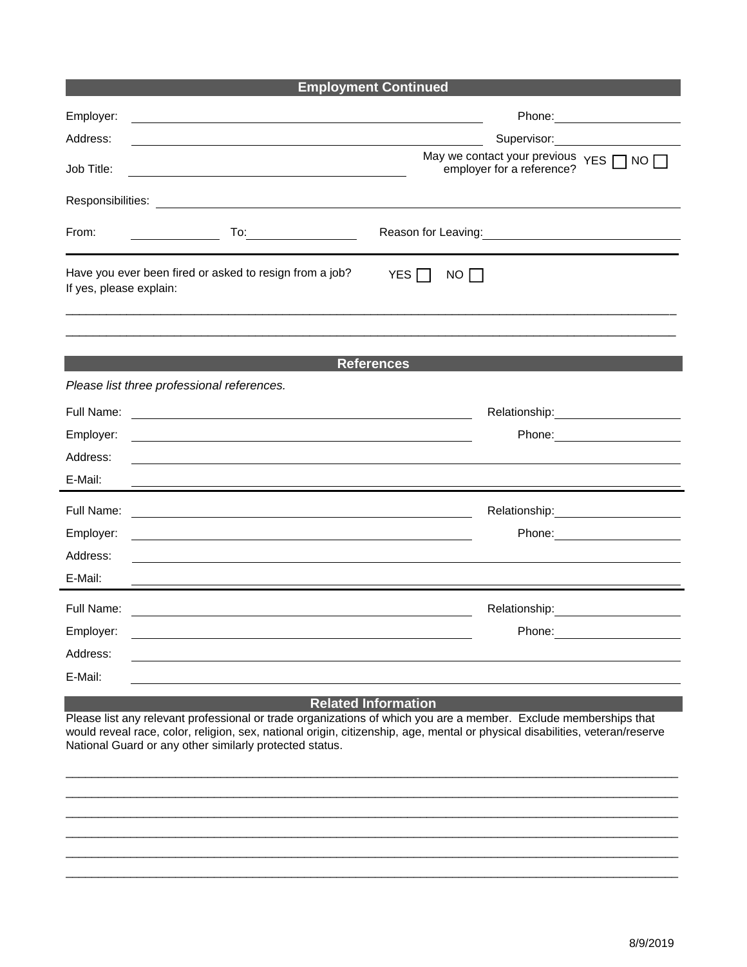|                         |                                                                                                                        | <b>Employment Continued</b>                                                                                    |
|-------------------------|------------------------------------------------------------------------------------------------------------------------|----------------------------------------------------------------------------------------------------------------|
| Employer:               |                                                                                                                        |                                                                                                                |
| Address:                |                                                                                                                        |                                                                                                                |
| Job Title:              |                                                                                                                        | May we contact your previous $YES \cap NO$<br>employer for a reference?                                        |
| Responsibilities:       | <u> 1989 - Johann Barn, mars eta bat erroman erroman erroman erroman erroman erroman erroman erroman erroman err</u>   |                                                                                                                |
| From:                   | $To: \begin{tabular}{c} \quad \quad \quad & \quad \quad \quad \\ \hline \end{tabular}.$                                |                                                                                                                |
| If yes, please explain: | Have you ever been fired or asked to resign from a job?                                                                | YES $\Box$<br>NO                                                                                               |
|                         |                                                                                                                        |                                                                                                                |
|                         |                                                                                                                        | <b>References</b>                                                                                              |
|                         | Please list three professional references.                                                                             |                                                                                                                |
| Full Name:              | <u> 1980 - John Stein, mars and de Britain and de Britain and de Britain and de Britain and de Britain and de Br</u>   | Relationship: example and all the set of the set of the set of the set of the set of the set of the set of the |
| Employer:               |                                                                                                                        |                                                                                                                |
| Address:                |                                                                                                                        |                                                                                                                |
| E-Mail:                 |                                                                                                                        |                                                                                                                |
| Full Name:              | <u> 1989 - Johann Stoff, deutscher Stoffen und der Stoffen und der Stoffen und der Stoffen und der Stoffen und der</u> |                                                                                                                |
| Employer:               | and the control of the control of the control of the control of the control of the control of the control of the       |                                                                                                                |
| Address:                |                                                                                                                        |                                                                                                                |
| E-Mail:                 |                                                                                                                        |                                                                                                                |
| Full Name:              |                                                                                                                        | Relationship: example and all the set of the set of the set of the set of the set of the set of the set of the |
| Employer:               |                                                                                                                        |                                                                                                                |
| Address:                |                                                                                                                        |                                                                                                                |
| E-Mail:                 |                                                                                                                        |                                                                                                                |
|                         |                                                                                                                        | <b>Dolotod Information</b>                                                                                     |

### **Related Information**

Please list any relevant professional or trade organizations of which you are a member. Exclude memberships that would reveal race, color, religion, sex, national origin, citizenship, age, mental or physical disabilities, veteran/reserve National Guard or any other similarly protected status.

 $\overline{\phantom{a}}$  ,  $\overline{\phantom{a}}$  ,  $\overline{\phantom{a}}$  ,  $\overline{\phantom{a}}$  ,  $\overline{\phantom{a}}$  ,  $\overline{\phantom{a}}$  ,  $\overline{\phantom{a}}$  ,  $\overline{\phantom{a}}$  ,  $\overline{\phantom{a}}$  ,  $\overline{\phantom{a}}$  ,  $\overline{\phantom{a}}$  ,  $\overline{\phantom{a}}$  ,  $\overline{\phantom{a}}$  ,  $\overline{\phantom{a}}$  ,  $\overline{\phantom{a}}$  ,  $\overline{\phantom{a}}$  $\overline{\phantom{a}}$  ,  $\overline{\phantom{a}}$  ,  $\overline{\phantom{a}}$  ,  $\overline{\phantom{a}}$  ,  $\overline{\phantom{a}}$  ,  $\overline{\phantom{a}}$  ,  $\overline{\phantom{a}}$  ,  $\overline{\phantom{a}}$  ,  $\overline{\phantom{a}}$  ,  $\overline{\phantom{a}}$  ,  $\overline{\phantom{a}}$  ,  $\overline{\phantom{a}}$  ,  $\overline{\phantom{a}}$  ,  $\overline{\phantom{a}}$  ,  $\overline{\phantom{a}}$  ,  $\overline{\phantom{a}}$  $\overline{\phantom{a}}$  , and the contribution of the contribution of the contribution of the contribution of the contribution of the contribution of the contribution of the contribution of the contribution of the contribution of the  $\overline{\phantom{a}}$  ,  $\overline{\phantom{a}}$  ,  $\overline{\phantom{a}}$  ,  $\overline{\phantom{a}}$  ,  $\overline{\phantom{a}}$  ,  $\overline{\phantom{a}}$  ,  $\overline{\phantom{a}}$  ,  $\overline{\phantom{a}}$  ,  $\overline{\phantom{a}}$  ,  $\overline{\phantom{a}}$  ,  $\overline{\phantom{a}}$  ,  $\overline{\phantom{a}}$  ,  $\overline{\phantom{a}}$  ,  $\overline{\phantom{a}}$  ,  $\overline{\phantom{a}}$  ,  $\overline{\phantom{a}}$  $\overline{\phantom{a}}$  ,  $\overline{\phantom{a}}$  ,  $\overline{\phantom{a}}$  ,  $\overline{\phantom{a}}$  ,  $\overline{\phantom{a}}$  ,  $\overline{\phantom{a}}$  ,  $\overline{\phantom{a}}$  ,  $\overline{\phantom{a}}$  ,  $\overline{\phantom{a}}$  ,  $\overline{\phantom{a}}$  ,  $\overline{\phantom{a}}$  ,  $\overline{\phantom{a}}$  ,  $\overline{\phantom{a}}$  ,  $\overline{\phantom{a}}$  ,  $\overline{\phantom{a}}$  ,  $\overline{\phantom{a}}$  $\overline{\phantom{a}}$  ,  $\overline{\phantom{a}}$  ,  $\overline{\phantom{a}}$  ,  $\overline{\phantom{a}}$  ,  $\overline{\phantom{a}}$  ,  $\overline{\phantom{a}}$  ,  $\overline{\phantom{a}}$  ,  $\overline{\phantom{a}}$  ,  $\overline{\phantom{a}}$  ,  $\overline{\phantom{a}}$  ,  $\overline{\phantom{a}}$  ,  $\overline{\phantom{a}}$  ,  $\overline{\phantom{a}}$  ,  $\overline{\phantom{a}}$  ,  $\overline{\phantom{a}}$  ,  $\overline{\phantom{a}}$